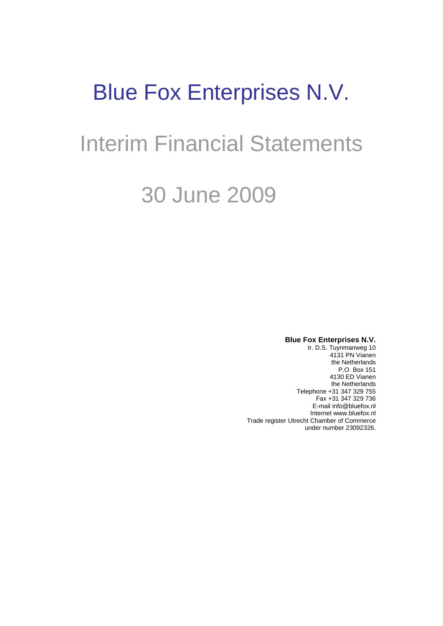# Blue Fox Enterprises N.V.

# Interim Financial Statements

# 30 June 2009

**Blue Fox Enterprises N.V.**

Ir. D.S. Tuynmanweg 10 4131 PN Vianen the Netherlands P.O. Box 151 4130 ED Vianen the Netherlands Telephone +31 347 329 755 Fax +31 347 329 736 E-mail info@bluefox.nl Internet www.bluefox.nl Trade register Utrecht Chamber of Commerce under number 23092326.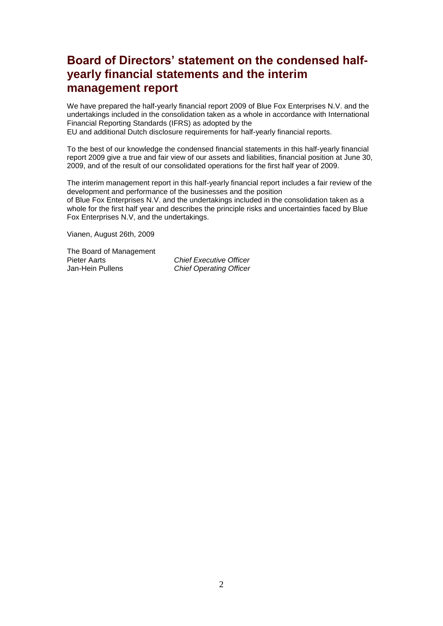## **Board of Directors' statement on the condensed halfyearly financial statements and the interim management report**

We have prepared the half-yearly financial report 2009 of Blue Fox Enterprises N.V. and the undertakings included in the consolidation taken as a whole in accordance with International Financial Reporting Standards (IFRS) as adopted by the EU and additional Dutch disclosure requirements for half-yearly financial reports.

To the best of our knowledge the condensed financial statements in this half-yearly financial report 2009 give a true and fair view of our assets and liabilities, financial position at June 30, 2009, and of the result of our consolidated operations for the first half year of 2009.

The interim management report in this half-yearly financial report includes a fair review of the development and performance of the businesses and the position of Blue Fox Enterprises N.V. and the undertakings included in the consolidation taken as a whole for the first half year and describes the principle risks and uncertainties faced by Blue Fox Enterprises N.V, and the undertakings.

Vianen, August 26th, 2009

The Board of Management<br>Pieter Aarts Pieter Aarts *Chief Executive Officer*

**Chief Operating Officer**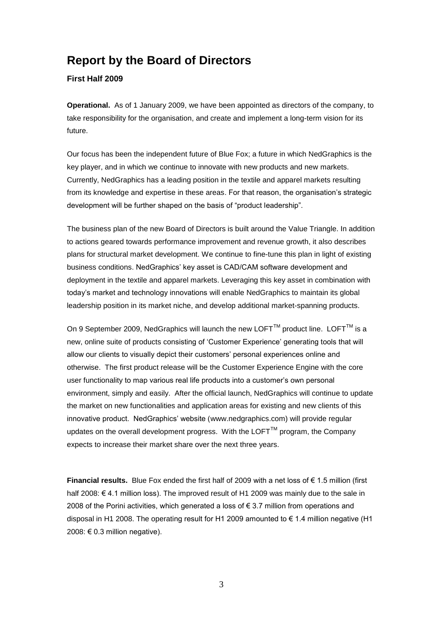## **Report by the Board of Directors**

#### **First Half 2009**

**Operational.** As of 1 January 2009, we have been appointed as directors of the company, to take responsibility for the organisation, and create and implement a long-term vision for its future.

Our focus has been the independent future of Blue Fox; a future in which NedGraphics is the key player, and in which we continue to innovate with new products and new markets. Currently, NedGraphics has a leading position in the textile and apparel markets resulting from its knowledge and expertise in these areas. For that reason, the organisation"s strategic development will be further shaped on the basis of "product leadership".

The business plan of the new Board of Directors is built around the Value Triangle. In addition to actions geared towards performance improvement and revenue growth, it also describes plans for structural market development. We continue to fine-tune this plan in light of existing business conditions. NedGraphics" key asset is CAD/CAM software development and deployment in the textile and apparel markets. Leveraging this key asset in combination with today"s market and technology innovations will enable NedGraphics to maintain its global leadership position in its market niche, and develop additional market-spanning products.

On 9 September 2009, NedGraphics will launch the new LOFT<sup>TM</sup> product line. LOFT<sup>TM</sup> is a new, online suite of products consisting of "Customer Experience" generating tools that will allow our clients to visually depict their customers" personal experiences online and otherwise. The first product release will be the Customer Experience Engine with the core user functionality to map various real life products into a customer"s own personal environment, simply and easily. After the official launch, NedGraphics will continue to update the market on new functionalities and application areas for existing and new clients of this innovative product. NedGraphics' website (www.nedgraphics.com) will provide regular updates on the overall development progress. With the  $LOFT^{TM}$  program, the Company expects to increase their market share over the next three years.

**Financial results.** Blue Fox ended the first half of 2009 with a net loss of € 1.5 million (first half 2008: € 4.1 million loss). The improved result of H1 2009 was mainly due to the sale in 2008 of the Porini activities, which generated a loss of  $\epsilon$  3.7 million from operations and disposal in H1 2008. The operating result for H1 2009 amounted to € 1.4 million negative (H1 2008:  $€ 0.3$  million negative).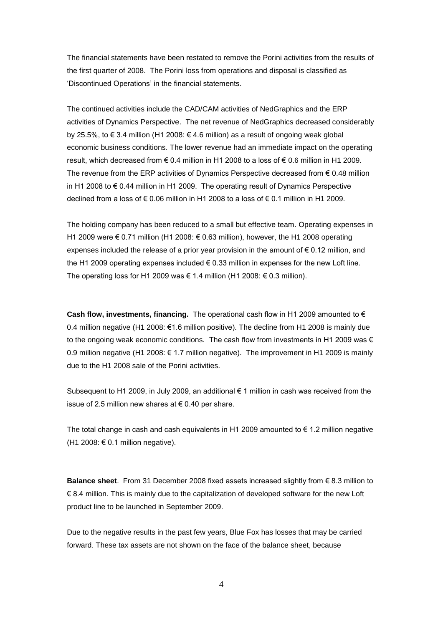The financial statements have been restated to remove the Porini activities from the results of the first quarter of 2008. The Porini loss from operations and disposal is classified as "Discontinued Operations" in the financial statements.

The continued activities include the CAD/CAM activities of NedGraphics and the ERP activities of Dynamics Perspective. The net revenue of NedGraphics decreased considerably by 25.5%, to € 3.4 million (H1 2008: € 4.6 million) as a result of ongoing weak global economic business conditions. The lower revenue had an immediate impact on the operating result, which decreased from € 0.4 million in H1 2008 to a loss of € 0.6 million in H1 2009. The revenue from the ERP activities of Dynamics Perspective decreased from  $\epsilon$  0.48 million in H1 2008 to € 0.44 million in H1 2009. The operating result of Dynamics Perspective declined from a loss of € 0.06 million in H1 2008 to a loss of € 0.1 million in H1 2009.

The holding company has been reduced to a small but effective team. Operating expenses in H1 2009 were € 0.71 million (H1 2008: € 0.63 million), however, the H1 2008 operating expenses included the release of a prior year provision in the amount of  $\epsilon$  0.12 million, and the H1 2009 operating expenses included € 0.33 million in expenses for the new Loft line. The operating loss for H1 2009 was  $\epsilon$  1.4 million (H1 2008:  $\epsilon$  0.3 million).

**Cash flow, investments, financing.** The operational cash flow in H1 2009 amounted to € 0.4 million negative (H1 2008: €1.6 million positive). The decline from H1 2008 is mainly due to the ongoing weak economic conditions. The cash flow from investments in H1 2009 was  $\epsilon$ 0.9 million negative (H1 2008: € 1.7 million negative). The improvement in H1 2009 is mainly due to the H1 2008 sale of the Porini activities.

Subsequent to H1 2009, in July 2009, an additional € 1 million in cash was received from the issue of 2.5 million new shares at € 0.40 per share.

The total change in cash and cash equivalents in H1 2009 amounted to  $\epsilon$  1.2 million negative (H1 2008: € 0.1 million negative).

**Balance sheet**. From 31 December 2008 fixed assets increased slightly from € 8.3 million to € 8.4 million. This is mainly due to the capitalization of developed software for the new Loft product line to be launched in September 2009.

Due to the negative results in the past few years, Blue Fox has losses that may be carried forward. These tax assets are not shown on the face of the balance sheet, because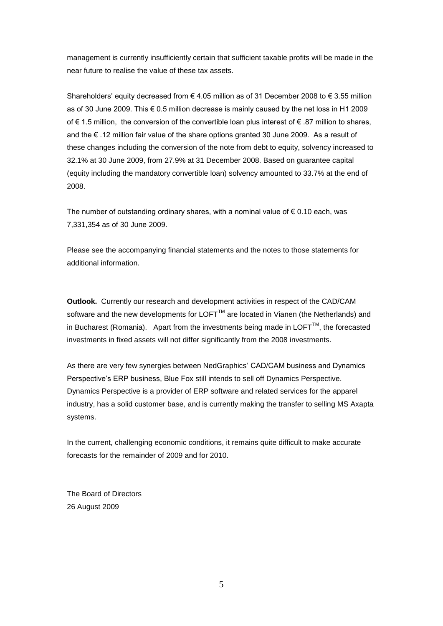management is currently insufficiently certain that sufficient taxable profits will be made in the near future to realise the value of these tax assets.

Shareholders' equity decreased from  $\epsilon$  4.05 million as of 31 December 2008 to  $\epsilon$  3.55 million as of 30 June 2009. This € 0.5 million decrease is mainly caused by the net loss in H1 2009 of € 1.5 million, the conversion of the convertible loan plus interest of € .87 million to shares, and the € .12 million fair value of the share options granted 30 June 2009. As a result of these changes including the conversion of the note from debt to equity, solvency increased to 32.1% at 30 June 2009, from 27.9% at 31 December 2008. Based on guarantee capital (equity including the mandatory convertible loan) solvency amounted to 33.7% at the end of 2008.

The number of outstanding ordinary shares, with a nominal value of  $\epsilon$  0.10 each, was 7,331,354 as of 30 June 2009.

Please see the accompanying financial statements and the notes to those statements for additional information.

**Outlook.** Currently our research and development activities in respect of the CAD/CAM software and the new developments for LOFT<sup>TM</sup> are located in Vianen (the Netherlands) and in Bucharest (Romania). Apart from the investments being made in LOFT $^{TM}$ , the forecasted investments in fixed assets will not differ significantly from the 2008 investments.

As there are very few synergies between NedGraphics" CAD/CAM business and Dynamics Perspective's ERP business, Blue Fox still intends to sell off Dynamics Perspective. Dynamics Perspective is a provider of ERP software and related services for the apparel industry, has a solid customer base, and is currently making the transfer to selling MS Axapta systems.

In the current, challenging economic conditions, it remains quite difficult to make accurate forecasts for the remainder of 2009 and for 2010.

The Board of Directors 26 August 2009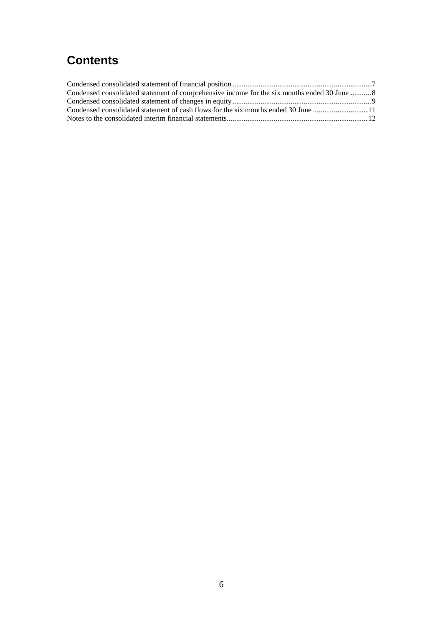# **Contents**

| Condensed consolidated statement of comprehensive income for the six months ended 30 June  8 |  |
|----------------------------------------------------------------------------------------------|--|
|                                                                                              |  |
| Condensed consolidated statement of cash flows for the six months ended 30 June 11           |  |
|                                                                                              |  |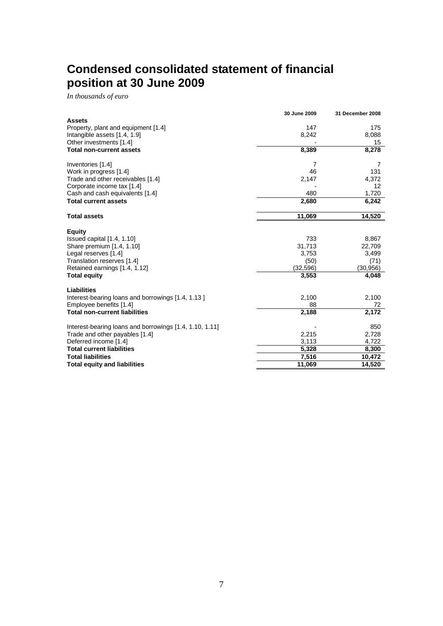# <span id="page-6-0"></span>**Condensed consolidated statement of financial position at 30 June 2009**

*In thousands of euro*

|                                                                     | 30 June 2009    | 31 December 2008 |
|---------------------------------------------------------------------|-----------------|------------------|
| <b>Assets</b>                                                       |                 |                  |
| Property, plant and equipment [1.4]<br>Intangible assets [1.4, 1.9] | 147<br>8,242    | 175<br>8,088     |
| Other investments [1.4]                                             |                 | 15               |
| <b>Total non-current assets</b>                                     | 8,389           | 8,278            |
|                                                                     |                 |                  |
| Inventories [1.4]                                                   | 7               | 7                |
| Work in progress [1.4]                                              | 46              | 131              |
| Trade and other receivables [1.4]                                   | 2,147           | 4,372            |
| Corporate income tax [1.4]                                          |                 | 12               |
| Cash and cash equivalents [1.4]<br><b>Total current assets</b>      | 480             | 1,720            |
|                                                                     | 2,680           | 6,242            |
| <b>Total assets</b>                                                 | 11,069          | 14,520           |
|                                                                     |                 |                  |
| <b>Equity</b>                                                       | 733             |                  |
| Issued capital [1.4, 1.10]<br>Share premium [1.4, 1.10]             | 31,713          | 8,867<br>22,709  |
| Legal reserves [1.4]                                                | 3,753           | 3,499            |
| Translation reserves [1.4]                                          | (50)            | (71)             |
| Retained earnings [1.4, 1.12]                                       | (32, 596)       | (30,956)         |
| <b>Total equity</b>                                                 | 3,553           | 4,048            |
| <b>Liabilities</b>                                                  |                 |                  |
| Interest-bearing loans and borrowings [1.4, 1.13]                   | 2,100           | 2,100            |
| Employee benefits [1.4]                                             | 88              | 72               |
| <b>Total non-current liabilities</b>                                | 2,188           | 2,172            |
|                                                                     |                 |                  |
| Interest-bearing loans and borrowings [1.4, 1.10, 1.11]             |                 | 850              |
| Trade and other payables [1.4]                                      | 2,215           | 2,728            |
| Deferred income [1.4]                                               | 3,113           | 4,722            |
| <b>Total current liabilities</b><br><b>Total liabilities</b>        | 5,328           | 8,300            |
| <b>Total equity and liabilities</b>                                 | 7,516<br>11,069 | 10,472<br>14,520 |
|                                                                     |                 |                  |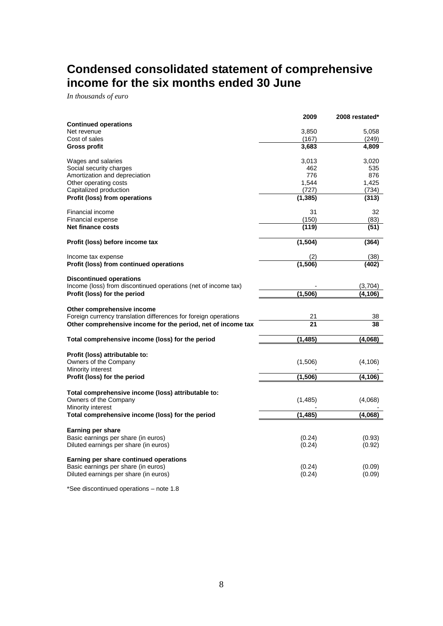# <span id="page-7-0"></span>**Condensed consolidated statement of comprehensive income for the six months ended 30 June**

*In thousands of euro*

|                                                                 | 2009     | 2008 restated* |
|-----------------------------------------------------------------|----------|----------------|
| <b>Continued operations</b>                                     |          |                |
| Net revenue                                                     | 3,850    | 5,058          |
| Cost of sales                                                   | (167)    | (249)          |
| <b>Gross profit</b>                                             | 3,683    | 4,809          |
| Wages and salaries                                              | 3,013    | 3,020          |
| Social security charges                                         | 462      | 535            |
| Amortization and depreciation                                   | 776      | 876            |
| Other operating costs                                           | 1,544    | 1,425          |
| Capitalized production                                          | (727)    | (734)          |
| Profit (loss) from operations                                   | (1, 385) | (313)          |
| Financial income                                                | 31       | 32             |
| Financial expense                                               | (150)    | (83)           |
| <b>Net finance costs</b>                                        | (119)    | (51)           |
| Profit (loss) before income tax                                 | (1, 504) | (364)          |
|                                                                 |          |                |
| Income tax expense                                              | (2)      | (38)           |
| Profit (loss) from continued operations                         | (1, 506) | (402)          |
| <b>Discontinued operations</b>                                  |          |                |
| Income (loss) from discontinued operations (net of income tax)  |          | (3,704)        |
| Profit (loss) for the period                                    | (1, 506) | (4,106)        |
| Other comprehensive income                                      |          |                |
| Foreign currency translation differences for foreign operations | 21       | 38             |
| Other comprehensive income for the period, net of income tax    | 21       | 38             |
| Total comprehensive income (loss) for the period                | (1, 485) | (4,068)        |
|                                                                 |          |                |
| Profit (loss) attributable to:                                  |          |                |
| Owners of the Company                                           | (1,506)  | (4, 106)       |
| Minority interest                                               |          |                |
| Profit (loss) for the period                                    | (1,506)  | (4, 106)       |
| Total comprehensive income (loss) attributable to:              |          |                |
| Owners of the Company                                           | (1, 485) | (4,068)        |
| Minority interest                                               |          |                |
| Total comprehensive income (loss) for the period                | (1,485)  | (4.068)        |
| Earning per share                                               |          |                |
| Basic earnings per share (in euros)                             | (0.24)   | (0.93)         |
| Diluted earnings per share (in euros)                           | (0.24)   | (0.92)         |
| Earning per share continued operations                          |          |                |
| Basic earnings per share (in euros)                             | (0.24)   | (0.09)         |
| Diluted earnings per share (in euros)                           | (0.24)   | (0.09)         |
|                                                                 |          |                |

\*See discontinued operations – note 1.8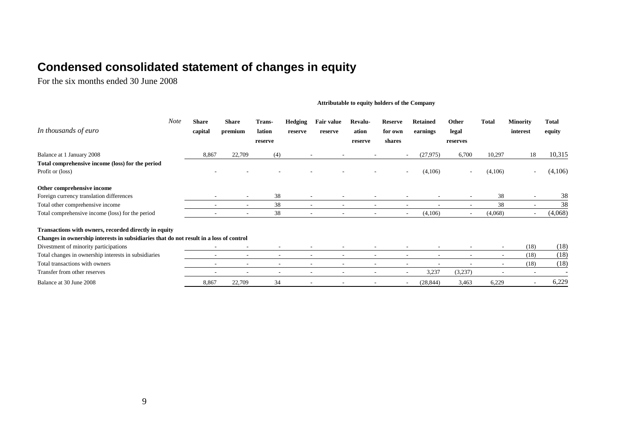# **Condensed consolidated statement of changes in equity**

For the six months ended 30 June 2008

#### **Attributable to equity holders of the Company**

<span id="page-8-0"></span>

| In thousands of euro                                                                   | Note | <b>Share</b><br>capital | Share<br>premium         | Trans-<br>lation<br>reserve | <b>Hedging</b><br>reserve | <b>Fair value</b><br>reserve | Revalu-<br>ation<br>reserve | <b>Reserve</b><br>for own<br>shares | <b>Retained</b><br>earnings | Other<br>legal<br>reserves | Total   | <b>Minority</b><br>interest | <b>Total</b><br>equity |
|----------------------------------------------------------------------------------------|------|-------------------------|--------------------------|-----------------------------|---------------------------|------------------------------|-----------------------------|-------------------------------------|-----------------------------|----------------------------|---------|-----------------------------|------------------------|
| Balance at 1 January 2008                                                              |      | 8,867                   | 22,709                   | (4)                         |                           |                              |                             |                                     | (27, 975)                   | 6,700                      | 10,297  | 18                          | 10,315                 |
| Total comprehensive income (loss) for the period                                       |      |                         |                          |                             |                           |                              |                             |                                     |                             |                            |         |                             |                        |
| Profit or (loss)                                                                       |      |                         |                          |                             |                           |                              |                             |                                     | (4,106)                     | $\sim$                     | (4,106) |                             | (4,106)                |
| Other comprehensive income                                                             |      |                         |                          |                             |                           |                              |                             |                                     |                             |                            |         |                             |                        |
| Foreign currency translation differences                                               |      |                         |                          | 38                          | ٠                         |                              |                             |                                     |                             |                            | 38      |                             | 38                     |
| Total other comprehensive income                                                       |      |                         | $\sim$                   | 38                          | $\sim$                    | ۰                            | $\overline{\phantom{a}}$    |                                     | $\overline{\phantom{a}}$    | $\overline{\phantom{a}}$   | 38      |                             | 38                     |
| Total comprehensive income (loss) for the period                                       |      |                         |                          | 38                          | ٠                         |                              |                             | ۰.                                  | (4,106)                     |                            | (4,068) |                             | (4,068)                |
| Transactions with owners, recorded directly in equity                                  |      |                         |                          |                             |                           |                              |                             |                                     |                             |                            |         |                             |                        |
| Changes in ownership interests in subsidiaries that do not result in a loss of control |      |                         |                          |                             |                           |                              |                             |                                     |                             |                            |         |                             |                        |
| Divestment of minority participations                                                  |      |                         |                          |                             |                           |                              |                             |                                     |                             |                            |         | (18)                        | (18)                   |
| Total changes in ownership interests in subsidiaries                                   |      |                         | $\overline{\phantom{a}}$ | $\overline{\phantom{a}}$    | ٠                         |                              | $\overline{\phantom{a}}$    |                                     | $\overline{\phantom{0}}$    | $\overline{\phantom{a}}$   |         | (18)                        | (18)                   |
| Total transactions with owners                                                         |      |                         | $\overline{\phantom{a}}$ |                             |                           |                              |                             |                                     |                             |                            |         | (18)                        | (18)                   |
| Transfer from other reserves                                                           |      |                         | $\overline{\phantom{a}}$ | $\overline{\phantom{a}}$    | $\overline{\phantom{a}}$  | ۰                            | ٠                           | $\overline{\phantom{a}}$            | 3,237                       | (3,237)                    |         |                             |                        |
| Balance at 30 June 2008                                                                |      | 8,867                   | 22,709                   | 34                          |                           |                              |                             |                                     | (28, 844)                   | 3,463                      | 6,229   |                             | 6,229                  |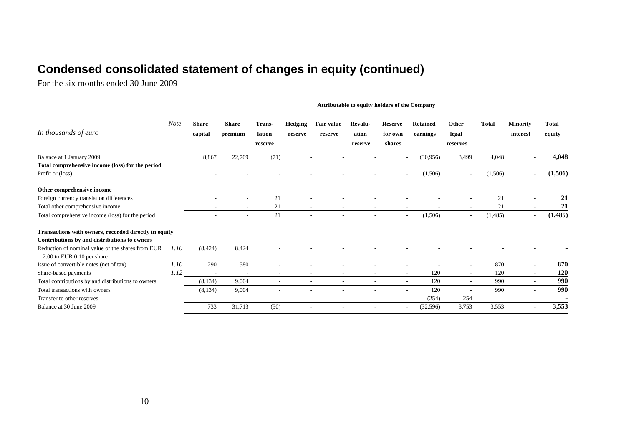# **Condensed consolidated statement of changes in equity (continued)**

For the six months ended 30 June 2009

#### **Attributable to equity holders of the Company**

| In thousands of euro                                                            | <b>Note</b> | <b>Share</b><br>capital | Share<br>premium         | Trans-<br>lation<br>reserve | Hedging<br>reserve | <b>Fair value</b><br>reserve  | Revalu-<br>ation<br>reserve | <b>Reserve</b><br>for own<br>shares | <b>Retained</b><br>earnings       | Other<br>legal<br>reserves | <b>Total</b>             | <b>Minority</b><br>interest | <b>Total</b><br>equity |
|---------------------------------------------------------------------------------|-------------|-------------------------|--------------------------|-----------------------------|--------------------|-------------------------------|-----------------------------|-------------------------------------|-----------------------------------|----------------------------|--------------------------|-----------------------------|------------------------|
| Balance at 1 January 2009                                                       |             | 8,867                   | 22,709                   | (71)                        |                    |                               |                             |                                     | (30,956)                          | 3,499                      | 4,048                    |                             | 4,048                  |
| Total comprehensive income (loss) for the period                                |             |                         |                          |                             |                    |                               |                             |                                     |                                   |                            |                          |                             |                        |
| Profit or (loss)                                                                |             |                         |                          |                             |                    |                               |                             |                                     | (1,506)                           |                            | (1,506)                  |                             | (1,506)                |
| Other comprehensive income                                                      |             |                         |                          |                             |                    |                               |                             |                                     |                                   |                            |                          |                             |                        |
| Foreign currency translation differences                                        |             |                         | $\overline{\phantom{a}}$ | 21                          |                    |                               |                             |                                     |                                   |                            | 21                       |                             | 21                     |
| Total other comprehensive income                                                |             |                         | $\overline{\phantom{a}}$ | 21                          |                    | $\overline{\phantom{a}}$      | $\overline{\phantom{a}}$    |                                     | $\overline{\phantom{a}}$          |                            | 21                       |                             | 21                     |
| Total comprehensive income (loss) for the period                                |             |                         | $\overline{\phantom{a}}$ | 21                          |                    | $\overline{\phantom{a}}$<br>۰ | ٠                           |                                     | (1,506)<br>$\sim$                 | $\sim$                     | (1,485)                  |                             | (1, 485)               |
| Transactions with owners, recorded directly in equity                           |             |                         |                          |                             |                    |                               |                             |                                     |                                   |                            |                          |                             |                        |
| Contributions by and distributions to owners                                    |             |                         |                          |                             |                    |                               |                             |                                     |                                   |                            |                          |                             |                        |
| Reduction of nominal value of the shares from EUR<br>2.00 to EUR 0.10 per share | 1.10        | (8, 424)                | 8,424                    |                             |                    |                               |                             |                                     |                                   |                            |                          |                             |                        |
| Issue of convertible notes (net of tax)                                         | 1.10        | 290                     | 580                      |                             |                    |                               |                             |                                     |                                   |                            | 870                      |                             | 870                    |
| Share-based payments                                                            | 1.12        |                         | $\overline{\phantom{a}}$ |                             |                    |                               | $\overline{\phantom{a}}$    |                                     | 120<br>۰                          | $\sim$                     | 120                      | $\sim$                      | <b>120</b>             |
| Total contributions by and distributions to owners                              |             | (8, 134)                | 9,004                    | $\overline{\phantom{a}}$    |                    | ٠<br>۰                        | ٠                           |                                     | 120<br>٠                          |                            | 990                      |                             | 990                    |
| Total transactions with owners                                                  |             | (8, 134)                | 9,004                    | $\overline{\phantom{a}}$    |                    | ٠<br>٠                        | ٠                           |                                     | 120<br>۰                          |                            | 990                      |                             | 990                    |
| Transfer to other reserves                                                      |             |                         | $\overline{\phantom{a}}$ |                             |                    |                               |                             |                                     | (254)<br>$\overline{\phantom{a}}$ | 254                        | $\overline{\phantom{a}}$ | $\overline{\phantom{a}}$    |                        |
| Balance at 30 June 2009                                                         |             | 733                     | 31,713                   | (50)                        |                    |                               |                             |                                     | (32,596)                          | 3,753                      | 3,553                    |                             | 3,553                  |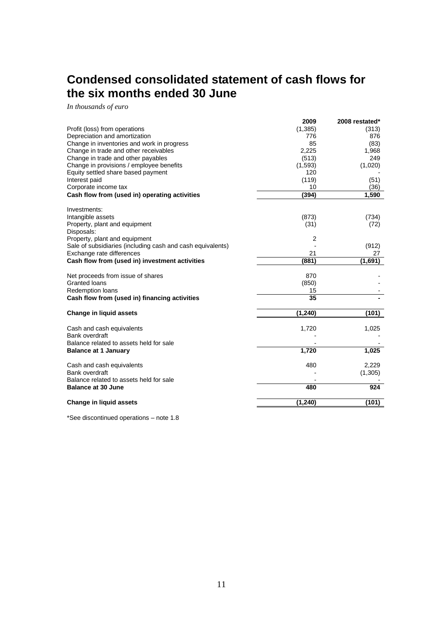# <span id="page-10-0"></span>**Condensed consolidated statement of cash flows for the six months ended 30 June**

*In thousands of euro*

|                                                            | 2009           | 2008 restated* |
|------------------------------------------------------------|----------------|----------------|
| Profit (loss) from operations                              | (1,385)        | (313)          |
| Depreciation and amortization                              | 776            | 876            |
| Change in inventories and work in progress                 | 85             | (83)           |
| Change in trade and other receivables                      | 2,225          | 1,968          |
| Change in trade and other payables                         | (513)          | 249            |
| Change in provisions / employee benefits                   | (1,593)        | (1,020)        |
| Equity settled share based payment                         | 120            |                |
| Interest paid                                              | (119)          | (51)           |
| Corporate income tax                                       | 10             | (36)           |
| Cash flow from (used in) operating activities              | (394)          | 1,590          |
| Investments:                                               |                |                |
| Intangible assets                                          | (873)          | (734)          |
| Property, plant and equipment                              | (31)           | (72)           |
| Disposals:                                                 |                |                |
| Property, plant and equipment                              | $\overline{2}$ |                |
| Sale of subsidiaries (including cash and cash equivalents) |                | (912)          |
| Exchange rate differences                                  | 21             | 27             |
| Cash flow from (used in) investment activities             | (881)          | (1,691)        |
| Net proceeds from issue of shares                          | 870            |                |
| Granted loans                                              | (850)          |                |
| <b>Redemption loans</b>                                    | 15             |                |
| Cash flow from (used in) financing activities              | 35             |                |
| <b>Change in liquid assets</b>                             | (1, 240)       | (101)          |
|                                                            |                |                |
| Cash and cash equivalents                                  | 1,720          | 1,025          |
| Bank overdraft                                             |                |                |
| Balance related to assets held for sale                    |                |                |
| <b>Balance at 1 January</b>                                | 1,720          | 1,025          |
| Cash and cash equivalents                                  | 480            | 2,229          |
| Bank overdraft                                             |                | (1,305)        |
| Balance related to assets held for sale                    |                |                |
| <b>Balance at 30 June</b>                                  | 480            | 924            |
| <b>Change in liquid assets</b>                             | (1, 240)       | (101)          |
|                                                            |                |                |

\*See discontinued operations – note 1.8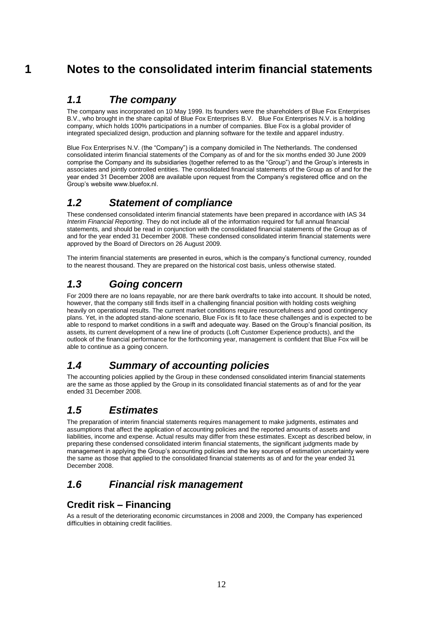# **1 Notes to the consolidated interim financial statements**

## <span id="page-11-0"></span>*1.1 The company*

The company was incorporated on 10 May 1999. Its founders were the shareholders of Blue Fox Enterprises B.V., who brought in the share capital of Blue Fox Enterprises B.V. Blue Fox Enterprises N.V. is a holding company, which holds 100% participations in a number of companies. Blue Fox is a global provider of integrated specialized design, production and planning software for the textile and apparel industry.

Blue Fox Enterprises N.V. (the "Company") is a company domiciled in The Netherlands. The condensed consolidated interim financial statements of the Company as of and for the six months ended 30 June 2009 comprise the Company and its subsidiaries (together referred to as the "Group") and the Group"s interests in associates and jointly controlled entities. The consolidated financial statements of the Group as of and for the year ended 31 December 2008 are available upon request from the Company"s registered office and on the Group"s website www.bluefox.nl.

## *1.2 Statement of compliance*

These condensed consolidated interim financial statements have been prepared in accordance with IAS 34 *Interim Financial Reporting*. They do not include all of the information required for full annual financial statements, and should be read in conjunction with the consolidated financial statements of the Group as of and for the year ended 31 December 2008. These condensed consolidated interim financial statements were approved by the Board of Directors on 26 August 2009.

The interim financial statements are presented in euros, which is the company's functional currency, rounded to the nearest thousand. They are prepared on the historical cost basis, unless otherwise stated.

## *1.3 Going concern*

For 2009 there are no loans repayable, nor are there bank overdrafts to take into account. It should be noted, however, that the company still finds itself in a challenging financial position with holding costs weighing heavily on operational results. The current market conditions require resourcefulness and good contingency plans. Yet, in the adopted stand-alone scenario, Blue Fox is fit to face these challenges and is expected to be able to respond to market conditions in a swift and adequate way. Based on the Group"s financial position, its assets, its current development of a new line of products (Loft Customer Experience products), and the outlook of the financial performance for the forthcoming year, management is confident that Blue Fox will be able to continue as a going concern.

## *1.4 Summary of accounting policies*

The accounting policies applied by the Group in these condensed consolidated interim financial statements are the same as those applied by the Group in its consolidated financial statements as of and for the year ended 31 December 2008.

## *1.5 Estimates*

The preparation of interim financial statements requires management to make judgments, estimates and assumptions that affect the application of accounting policies and the reported amounts of assets and liabilities, income and expense. Actual results may differ from these estimates. Except as described below, in preparing these condensed consolidated interim financial statements, the significant judgments made by management in applying the Group"s accounting policies and the key sources of estimation uncertainty were the same as those that applied to the consolidated financial statements as of and for the year ended 31 December 2008.

## *1.6 Financial risk management*

### **Credit risk – Financing**

As a result of the deteriorating economic circumstances in 2008 and 2009, the Company has experienced difficulties in obtaining credit facilities.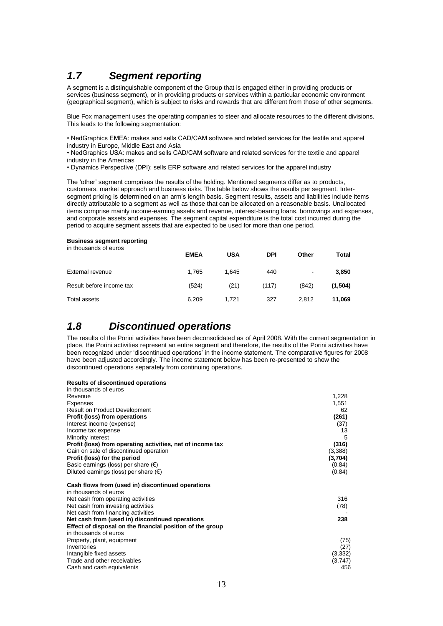## *1.7 Segment reporting*

A segment is a distinguishable component of the Group that is engaged either in providing products or services (business segment), or in providing products or services within a particular economic environment (geographical segment), which is subject to risks and rewards that are different from those of other segments.

Blue Fox management uses the operating companies to steer and allocate resources to the different divisions. This leads to the following segmentation:

• NedGraphics EMEA: makes and sells CAD/CAM software and related services for the textile and apparel industry in Europe, Middle East and Asia

• NedGraphics USA: makes and sells CAD/CAM software and related services for the textile and apparel industry in the Americas

• Dynamics Perspective (DPI): sells ERP software and related services for the apparel industry

The "other" segment comprises the results of the holding. Mentioned segments differ as to products, customers, market approach and business risks. The table below shows the results per segment. Intersegment pricing is determined on an arm's length basis. Segment results, assets and liabilities include items directly attributable to a segment as well as those that can be allocated on a reasonable basis. Unallocated items comprise mainly income-earning assets and revenue, interest-bearing loans, borrowings and expenses, and corporate assets and expenses. The segment capital expenditure is the total cost incurred during the period to acquire segment assets that are expected to be used for more than one period.

#### **Business segment reporting**

| in thousands of euros    | <b>EMEA</b> | <b>USA</b> | <b>DPI</b> | Other | Total   |
|--------------------------|-------------|------------|------------|-------|---------|
| External revenue         | 1,765       | 1.645      | 440        | ٠     | 3,850   |
| Result before income tax | (524)       | (21)       | (117)      | (842) | (1,504) |
| Total assets             | 6.209       | 1.721      | 327        | 2.812 | 11,069  |

### *1.8 Discontinued operations*

The results of the Porini activities have been deconsolidated as of April 2008. With the current segmentation in place, the Porini activities represent an entire segment and therefore, the results of the Porini activities have been recognized under "discontinued operations" in the income statement. The comparative figures for 2008 have been adjusted accordingly. The income statement below has been re-presented to show the discontinued operations separately from continuing operations.

#### **Results of discontinued operations**

| in thousands of euros                                      |          |
|------------------------------------------------------------|----------|
| Revenue                                                    | 1,228    |
| Expenses                                                   | 1,551    |
| Result on Product Development                              | 62       |
| Profit (loss) from operations                              | (261)    |
| Interest income (expense)                                  | (37)     |
| Income tax expense                                         | 13       |
| Minority interest                                          | 5        |
| Profit (loss) from operating activities, net of income tax | (316)    |
| Gain on sale of discontinued operation                     | (3,388)  |
| Profit (loss) for the period                               | (3,704)  |
| Basic earnings (loss) per share $(\epsilon)$               | (0.84)   |
| Diluted earnings (loss) per share $(\epsilon)$             | (0.84)   |
| Cash flows from (used in) discontinued operations          |          |
| in thousands of euros                                      |          |
| Net cash from operating activities                         | 316      |
| Net cash from investing activities                         | (78)     |
| Net cash from financing activities                         |          |
| Net cash from (used in) discontinued operations            | 238      |
| Effect of disposal on the financial position of the group  |          |
| in thousands of euros                                      |          |
| Property, plant, equipment                                 | (75)     |
| Inventories                                                | (27)     |
| Intangible fixed assets                                    | (3, 332) |
| Trade and other receivables                                | (3,747)  |
| Cash and cash equivalents                                  | 456      |
|                                                            |          |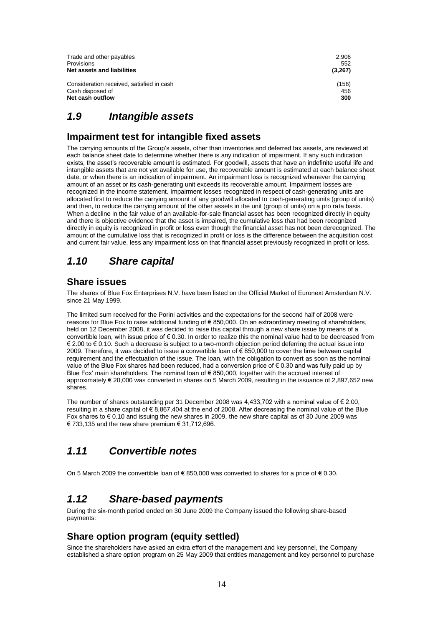| 2,906<br>552<br>(3,267) |
|-------------------------|
| (156)                   |
| 456                     |
| 300                     |
|                         |

#### *1.9 Intangible assets*

#### **Impairment test for intangible fixed assets**

The carrying amounts of the Group"s assets, other than inventories and deferred tax assets, are reviewed at each balance sheet date to determine whether there is any indication of impairment. If any such indication exists, the asset's recoverable amount is estimated. For goodwill, assets that have an indefinite useful life and intangible assets that are not yet available for use, the recoverable amount is estimated at each balance sheet date, or when there is an indication of impairment. An impairment loss is recognized whenever the carrying amount of an asset or its cash-generating unit exceeds its recoverable amount. Impairment losses are recognized in the income statement. Impairment losses recognized in respect of cash-generating units are allocated first to reduce the carrying amount of any goodwill allocated to cash-generating units (group of units) and then, to reduce the carrying amount of the other assets in the unit (group of units) on a pro rata basis. When a decline in the fair value of an available-for-sale financial asset has been recognized directly in equity and there is objective evidence that the asset is impaired, the cumulative loss that had been recognized directly in equity is recognized in profit or loss even though the financial asset has not been derecognized. The amount of the cumulative loss that is recognized in profit or loss is the difference between the acquisition cost and current fair value, less any impairment loss on that financial asset previously recognized in profit or loss.

#### *1.10 Share capital*

#### **Share issues**

The shares of Blue Fox Enterprises N.V. have been listed on the Official Market of Euronext Amsterdam N.V. since 21 May 1999.

The limited sum received for the Porini activities and the expectations for the second half of 2008 were reasons for Blue Fox to raise additional funding of € 850,000. On an extraordinary meeting of shareholders, held on 12 December 2008, it was decided to raise this capital through a new share issue by means of a convertible loan, with issue price of € 0.30. In order to realize this the nominal value had to be decreased from € 2.00 to € 0.10. Such a decrease is subject to a two-month objection period deferring the actual issue into 2009. Therefore, it was decided to issue a convertible loan of € 850,000 to cover the time between capital requirement and the effectuation of the issue. The loan, with the obligation to convert as soon as the nominal value of the Blue Fox shares had been reduced, had a conversion price of  $\epsilon$  0.30 and was fully paid up by Blue Fox" main shareholders. The nominal loan of € 850,000, together with the accrued interest of approximately € 20,000 was converted in shares on 5 March 2009, resulting in the issuance of 2,897,652 new shares.

The number of shares outstanding per 31 December 2008 was 4,433,702 with a nominal value of  $\epsilon$  2.00, resulting in a share capital of € 8,867,404 at the end of 2008. After decreasing the nominal value of the Blue Fox shares to € 0.10 and issuing the new shares in 2009, the new share capital as of 30 June 2009 was € 733,135 and the new share premium  $€ 31,712.696$ .

### *1.11 Convertible notes*

On 5 March 2009 the convertible loan of  $\in$  850,000 was converted to shares for a price of  $\in$  0.30.

### *1.12 Share-based payments*

During the six-month period ended on 30 June 2009 the Company issued the following share-based payments:

#### **Share option program (equity settled)**

Since the shareholders have asked an extra effort of the management and key personnel, the Company established a share option program on 25 May 2009 that entitles management and key personnel to purchase